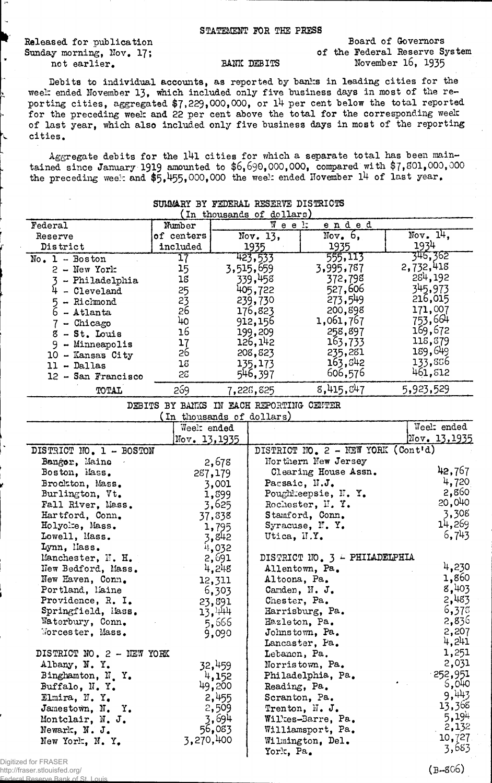## STATEMENT FOR THE PRESS

Released for publication Sunday morning, Nov. 17; not earlier.

Board of Governors of the Federal Reserve System BANK DEBITS November 16, 1935

Debits to individual accounts, as reported by banks in leading cities for the week ended November 13, which included only five business days in most of the reporting cities, aggregated  $$7,229,000,000$ , or 14 per cent below the total reported for the preceding week and 22 per cent above the total for the corresponding week of last year, which also included only five business days in most of the reporting cities.

 ${\tt Aggregate}$  debits for the 141 cities for which a separate total has been maintained since January 1919 amounted to  $$6,690,000,000$ , compared with  $$7,801,000,000$ the preceding week and  $$5,455,000,000$  the week ended November 14 of last year.

| SOMWAKI BI FEDERAL RESERVE DISTRICTS<br>(In thousands of dollars) |                                          |                                          |                                       |                                    |                               |
|-------------------------------------------------------------------|------------------------------------------|------------------------------------------|---------------------------------------|------------------------------------|-------------------------------|
| Federal                                                           | Mumber                                   |                                          |                                       |                                    |                               |
|                                                                   | of centers                               | $W$ e e $1$ ;<br><u>ended</u><br>Now. 6, |                                       | Nov. $14.$                         |                               |
| Reserve<br>District                                               | included                                 | Nov. $13,$                               |                                       | 1935                               | 1934                          |
|                                                                   |                                          |                                          | 1935<br>423,533                       | 555,113                            | 346,362                       |
| $No. 1 - Boston$                                                  | 17                                       |                                          |                                       | 3,995,787                          | 2,732,418                     |
| $2 - New York$                                                    | 15                                       |                                          | 3,515,659                             |                                    | 284,192                       |
| 3 - Philadelphia                                                  | 18                                       |                                          | 339,458                               | 372,798                            | 345,973                       |
| $4 - C1$ eveland                                                  | 25                                       |                                          | 405,722                               | 527,606                            | 216,015                       |
| 5 - Richmond                                                      | 23                                       |                                          | 239,730                               | 273,549                            | 171,007                       |
| $6 -$ Atlanta                                                     | 26                                       |                                          | 176,823                               | 200,898                            |                               |
| $7$ - Chicago                                                     | 40                                       |                                          | 912,156                               | 1,061,767                          | 753,664                       |
| 8 - St. Louis                                                     | 16                                       |                                          | 199,209                               | 258,897                            | 169,672                       |
| 9 - Minneapolis                                                   | 17                                       |                                          | 126,142                               | 163,733                            | 118,379                       |
| 10 - Kansas City                                                  | 26                                       |                                          | 208,823                               | 235,281                            | 189,649                       |
| $11 - Dallas$                                                     | 18                                       |                                          | 135,173                               | 163,842                            | 133,856                       |
| 12 - San Francisco                                                | 52                                       |                                          | 546,397                               | 606,576                            | 461,812                       |
| TOTAL                                                             | 269                                      |                                          | 7,226,825                             | 8,415,847                          | 5,923,529                     |
|                                                                   | DEBITS BY BANKS IN EACH REPORTING CENTER |                                          |                                       |                                    |                               |
|                                                                   | (In thousands of dollars)                |                                          |                                       |                                    |                               |
|                                                                   | Week ended                               |                                          |                                       |                                    | Weelt ended                   |
|                                                                   | Nov. 13,1935                             |                                          |                                       |                                    | $\sqrt{\text{Nov}}$ . 13,1935 |
| DISTRICT NO. 1 - BOSTON                                           |                                          |                                          |                                       | DISTRICT NO. 2 - NEW YORK (Cont'd) |                               |
| Bangor, Maine                                                     |                                          | 2,678                                    |                                       | Northern New Jersey                |                               |
| Boston, Mass.                                                     |                                          | 287,179                                  |                                       | Clearing House Assn.               | 42,767                        |
| Brockton, Mass.                                                   |                                          | 3,001                                    | Pacsaic, N.J.                         |                                    | 4,720                         |
| Burlington, Vt.                                                   |                                          | 1,899                                    |                                       | Poughkeepsie, N.Y.                 | 2,860                         |
| Fall River, Mass.                                                 |                                          | 3,625                                    |                                       | Rochester, N.Y.                    | 20,040                        |
| Hartford, Conn.                                                   |                                          | 37,838                                   |                                       | Stamford, Conn.                    | 3,308                         |
| Holyoke, Mass.                                                    |                                          | 1,795                                    |                                       | Syracuse, N.Y.                     | 14,269                        |
| Lowell, Mass.                                                     |                                          | 3,842                                    | Utica, II.Y.                          |                                    | 6,743                         |
| Lynn, liass.                                                      |                                          | 4,032                                    |                                       |                                    |                               |
| Manchester, N. H.                                                 |                                          | 2,691                                    |                                       | DISTRICT NO. 3 4 PHILADELPHIA      |                               |
| New Bedford, Mass.                                                |                                          | 4,248                                    | Allentown, Pa.                        |                                    | 4,230                         |
| New Haven, Conn.                                                  |                                          | 12,311                                   | Altoona, Pa.                          |                                    | 1,860                         |
| Portland, Maine                                                   |                                          | 6,303                                    | Camden, N. J.                         |                                    | 8,403                         |
| Providence, R. I.                                                 |                                          | 23,891                                   | Chester, Pa.                          |                                    | 2,483                         |
| Springfield, Mass.                                                |                                          | 13,444                                   |                                       | Harrisburg, Pa.                    | 6,375                         |
| Waterbury, Conn.                                                  |                                          | 5,666                                    | Hazleton, Pa.                         |                                    | 2,836                         |
| Worcester, Mass.                                                  |                                          | 9,090                                    |                                       | $J$ ohnstown, Pa.                  | 2,207                         |
|                                                                   |                                          |                                          |                                       | Lancaster, Pa.                     | 4,241                         |
| DISTRICT NO. 2 - NEW YORK                                         |                                          |                                          | Lebanon, Pa.                          |                                    | 1,251                         |
| Albany, N.Y.                                                      |                                          | 32,459                                   |                                       | Norristown, Pa.                    | 2,031                         |
| Binghamton, N.Y.                                                  |                                          | 4,152                                    |                                       | Philadelphia, Pa.                  | $-252,951$                    |
| Buffalo, N.Y.                                                     |                                          | 49,200                                   | Reading, Pa.                          |                                    | 5,040                         |
| Elmira, N.Y.                                                      |                                          | 2,455                                    | Scranton, Pa.                         |                                    | 9,443                         |
| Jamestown, N. Y.                                                  |                                          | 2,509                                    |                                       | Trenton, $\mathbb{N}$ . J.         | 13,368                        |
| Montclair, N. J.                                                  |                                          | 3,694                                    |                                       | Wilkes-Barre, Pa.                  | 5,194                         |
| Newark, N. J.                                                     |                                          | 56,083                                   |                                       |                                    | 2,132                         |
| New York, N.Y.                                                    | 3,270,400                                |                                          | Williamsport, Pa.<br>Wilmington, Del. |                                    | 10,727                        |
|                                                                   |                                          |                                          | York, Pa.                             |                                    | 3,683                         |
|                                                                   |                                          |                                          |                                       |                                    |                               |

Digitized for FRASER http://fraser.stlouisfed.org/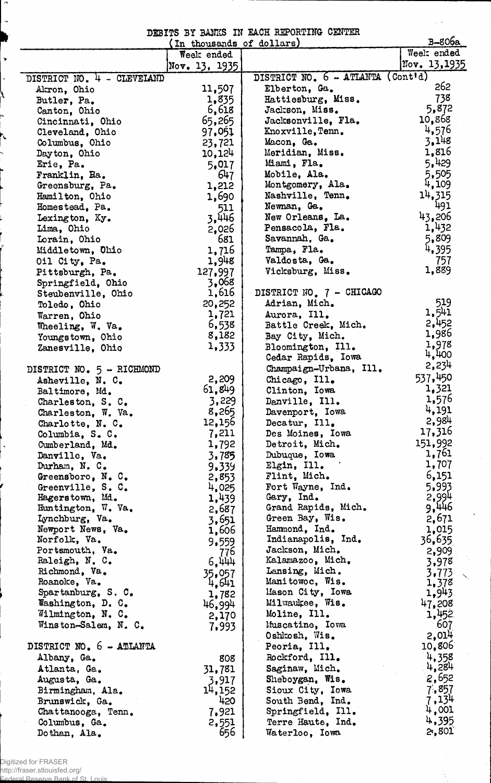DEBITS BY BANKS IK EACH REPORTING CENTER

|                                  | ה בנטגשה הנג שמותפעו בער ט<br>(In thousands of dollars) |                                      | $B-806a$       |
|----------------------------------|---------------------------------------------------------|--------------------------------------|----------------|
|                                  | Week ended                                              |                                      | Week ended     |
|                                  | Nov. $13, 1935$                                         |                                      | Nov. 13,1935   |
| DISTRICT NO. 4 - CLEVELAND       |                                                         | DISTRICT NO. 6 - ATLANTA (Cont'd)    |                |
| Akron, Ohio                      | 11,507                                                  | Elberton, Ga.                        | 262            |
| Butler, Pa.                      | 1,835                                                   | Hattiesburg, Miss.                   | 738            |
| Canton, Ohio                     | 6,618                                                   | Jackson, Miss.                       | 5,872          |
| Cincinnati, Ohio                 | 65,265                                                  | Jacksonville, Fla.                   | 10,868         |
| Cleveland, Ohio                  | 97.051                                                  | Knoxville, Tenn.                     | 4,576          |
| Columbus, Ohio                   | 23,721                                                  | Macon, Ga.                           | 3.148          |
| Dayton, Ohio                     | 10,124                                                  | Meridian, Miss.                      | 1,816          |
| Erie, Pa.                        | 5,017                                                   | Miami, Fla.                          | 5,429          |
| Franklin, Ha.                    | 647                                                     | Mobile, Ala.                         | 5,505<br>4,109 |
| Greensburg, Pa.                  | 1,212                                                   | Montgomery, Ala.<br>Nashville, Tenn. | 14,315         |
| Hamilton, Ohio<br>Homestead, Pa. | 1,690                                                   | Newnan, Ga.                          | 491            |
| Lexington, Ky.                   | 511<br>3,446                                            | New Orleans, La.                     | 43,206         |
| Lima, Ohio                       | 2,026                                                   | Pensacola, Fla.                      | 1,432          |
| Lorain, Ohio                     | 681                                                     | Savannah, Ga.                        | 5,809          |
| Middletown, Ohio                 | 1,716                                                   | Tampa, Fla.                          | 4,395          |
| Oil City, Pa.                    | 1,948                                                   | Valdosta, Ga.                        | 757            |
| Pittsburgh, Pa.                  | 127,997                                                 | Vicksburg, Miss.                     | 1,889          |
| Springfield, Ohio                | 3,068                                                   |                                      |                |
| Steubenville, Ohio               | 1,616                                                   | DISTRICT NO. 7 - CHICAGO             |                |
| Toledo, Ohio                     | 20,252                                                  | Adrian, Mich.                        | 519            |
| Warren, Ohio                     | 1,721                                                   | Aurora, Ill.                         | 1,541          |
| Wheeling, W. Va.                 | 6,538                                                   | Battle Creek, Mich.                  | 2,452          |
| Youngstown, Ohio                 | 8,182                                                   | Bay City, Mich.                      | 1,986          |
| Zanesville, Ohio                 | 1,333                                                   | Bloomington, Ill.                    | 1,978          |
|                                  |                                                         | Cedar Rapids, Iowa                   | 4,400          |
| DISTRICT NO. 5 - RICHMOND        |                                                         | Champaign-Urbana, Ill.               | 2,234          |
| Asheville, N. C.                 | 2,209                                                   | Chicago, Ill.                        | 537,450        |
| Baltimore, Md.                   | 61,849                                                  | Clinton, Iowa                        | 1,321          |
| Charleston, S. C.                | 3,229                                                   | Danville, Ill.                       | 1,576<br>4,191 |
| Charleston, W. Va.               | 8,265                                                   | Davenport, Iowa                      | 2,984          |
| Charlotte, N. C.                 | 12,156                                                  | Decatur, Ill.                        | 17,316         |
| Columbia, S. C.                  | 7,211                                                   | Des Moines, Iowa                     | 151,992        |
| Cumberland, Md.                  | 1,792                                                   | Detroit, Mich.<br>Dubuque, Iowa      | 1,761          |
| Danville, Va.<br>Durham, N. C.   | 3,785<br>9.339                                          | Elgin, Ill.                          | 1,707          |
| Greensboro, N.C.                 | 2,853                                                   | Flint, Mich.                         | 6,151          |
| Greenville, S. C.                | 4,025                                                   | Fort Wayne, Ind.                     | 5,993          |
| Hagerstown, Md.                  | 1,439                                                   | Gary, Ind.                           | 2,994          |
| Huntington, W. Va.               | 2,687                                                   | Grand Rapids, Mich.                  | 9,446          |
| Lynchburg, Va.                   | 3,651                                                   | Green Bay, Wis.                      | 2,671          |
| Newport News, Va.                | 1,606                                                   | Hammond, Ind.                        | 1,015          |
| Norfolk, Va.                     | 9,559                                                   | Indianapolis, Ind.                   | 36,635         |
| Portsmouth, Va.                  | 776                                                     | Jackson, Mich.                       | 2,909          |
| Raleigh, N. C.                   | 6,444                                                   | Kalamazoo, Mich.                     | 3,978          |
| Richmond, Va.                    | 35,057                                                  | Lansing, Mich.                       | 3,773          |
| Roanoke, Va.                     | 4,641                                                   | Manitowoc, Wis.                      | 1,378          |
| Spartanburg, S. C.               | 1,782                                                   | Mason City, Iowa                     | 1,943          |
| Washington, D. C.                | 46,994                                                  | Milwaukee, Wis.                      | 47,208         |
| Wilmington, N. C.                | 2,170                                                   | Moline, Ill.                         | 1,452          |
| Winston-Salem, N. C.             | 7,993                                                   | Muscatine, Iowa                      | 607<br>2,014   |
| DISTRICT NO. 6 - ATLANTA         |                                                         | Oshkosh, Wis.<br>Peoria, Ill.        | 10,806         |
| Albany, Ga.                      | 808                                                     | Rockford, Ill.                       | 4,358          |
| Atlanta, Ga.                     | 31,781                                                  | Saginaw, Mich.                       | 4,284          |
| Augusta, Ga.                     | 3,917                                                   | Sheboygan, Wis.                      | 2,652          |
| Birmingham, Ala.                 | 14,152                                                  | Sioux City, Iowa                     | 7,857          |
| Brunswick, Ga.                   | 420                                                     | South Bend, Ind.                     | 7,134          |
| Chattanooga, Tenn.               | 7,921                                                   | Springfield, Ill.                    | $^{14}$ ,001   |
| Columbus, Ga.                    | 2,551                                                   | Terre Haute, Ind.                    | 4,395          |
| Dothan, Ala.                     | 656                                                     | Waterloo, Iowa                       | 2,801          |

Digitized for FRASER

 $\boldsymbol{r}$ 

 $\ddot{ }$ 

 $\ddot{\phantom{0}}$ 

À

http://fraser.stlouisfed.org/ Federal Reserve Bank of St. Louis